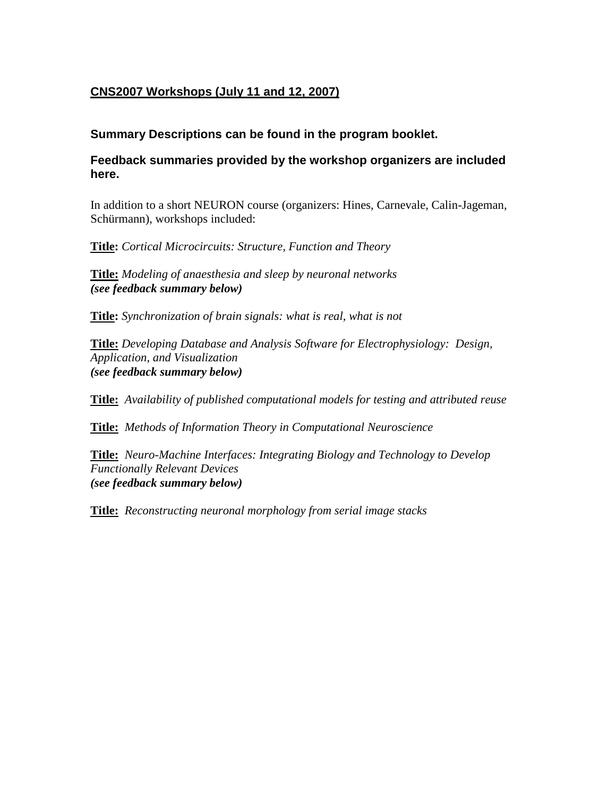### **CNS2007 Workshops (July 11 and 12, 2007)**

### **Summary Descriptions can be found in the program booklet.**

### **Feedback summaries provided by the workshop organizers are included here.**

In addition to a short NEURON course (organizers: Hines, Carnevale, Calin-Jageman, Schürmann), workshops included:

**Title:** *Cortical Microcircuits: Structure, Function and Theory* 

**Title:** *Modeling of anaesthesia and sleep by neuronal networks (see feedback summary below)* 

**Title:** *Synchronization of brain signals: what is real, what is not* 

**Title:** *Developing Database and Analysis Software for Electrophysiology: Design, Application, and Visualization (see feedback summary below)* 

**Title:** *Availability of published computational models for testing and attributed reuse* 

**Title:** *Methods of Information Theory in Computational Neuroscience* 

**Title:** *Neuro-Machine Interfaces: Integrating Biology and Technology to Develop Functionally Relevant Devices (see feedback summary below)* 

**Title:** *Reconstructing neuronal morphology from serial image stacks*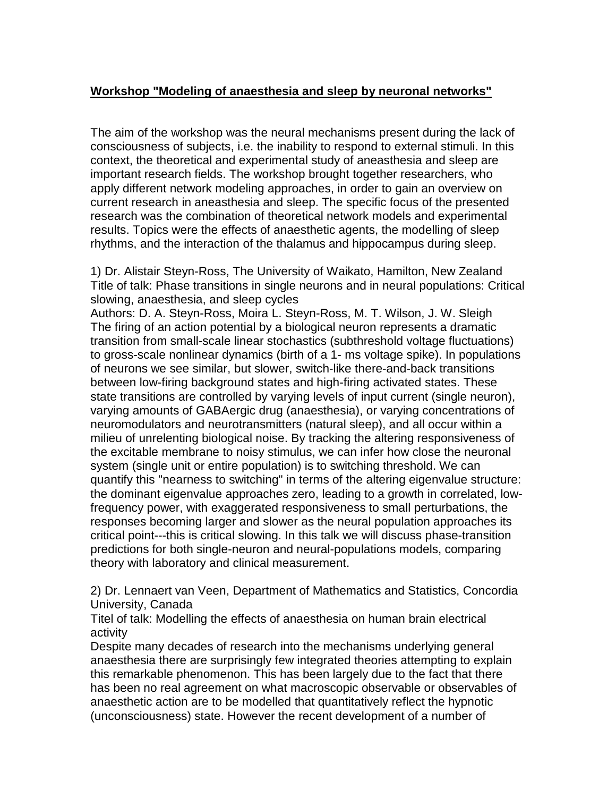### **Workshop "Modeling of anaesthesia and sleep by neuronal networks"**

The aim of the workshop was the neural mechanisms present during the lack of consciousness of subjects, i.e. the inability to respond to external stimuli. In this context, the theoretical and experimental study of aneasthesia and sleep are important research fields. The workshop brought together researchers, who apply different network modeling approaches, in order to gain an overview on current research in aneasthesia and sleep. The specific focus of the presented research was the combination of theoretical network models and experimental results. Topics were the effects of anaesthetic agents, the modelling of sleep rhythms, and the interaction of the thalamus and hippocampus during sleep.

1) Dr. Alistair Steyn-Ross, The University of Waikato, Hamilton, New Zealand Title of talk: Phase transitions in single neurons and in neural populations: Critical slowing, anaesthesia, and sleep cycles

Authors: D. A. Steyn-Ross, Moira L. Steyn-Ross, M. T. Wilson, J. W. Sleigh The firing of an action potential by a biological neuron represents a dramatic transition from small-scale linear stochastics (subthreshold voltage fluctuations) to gross-scale nonlinear dynamics (birth of a 1- ms voltage spike). In populations of neurons we see similar, but slower, switch-like there-and-back transitions between low-firing background states and high-firing activated states. These state transitions are controlled by varying levels of input current (single neuron), varying amounts of GABAergic drug (anaesthesia), or varying concentrations of neuromodulators and neurotransmitters (natural sleep), and all occur within a milieu of unrelenting biological noise. By tracking the altering responsiveness of the excitable membrane to noisy stimulus, we can infer how close the neuronal system (single unit or entire population) is to switching threshold. We can quantify this "nearness to switching" in terms of the altering eigenvalue structure: the dominant eigenvalue approaches zero, leading to a growth in correlated, lowfrequency power, with exaggerated responsiveness to small perturbations, the responses becoming larger and slower as the neural population approaches its critical point---this is critical slowing. In this talk we will discuss phase-transition predictions for both single-neuron and neural-populations models, comparing theory with laboratory and clinical measurement.

2) Dr. Lennaert van Veen, Department of Mathematics and Statistics, Concordia University, Canada

Titel of talk: Modelling the effects of anaesthesia on human brain electrical activity

Despite many decades of research into the mechanisms underlying general anaesthesia there are surprisingly few integrated theories attempting to explain this remarkable phenomenon. This has been largely due to the fact that there has been no real agreement on what macroscopic observable or observables of anaesthetic action are to be modelled that quantitatively reflect the hypnotic (unconsciousness) state. However the recent development of a number of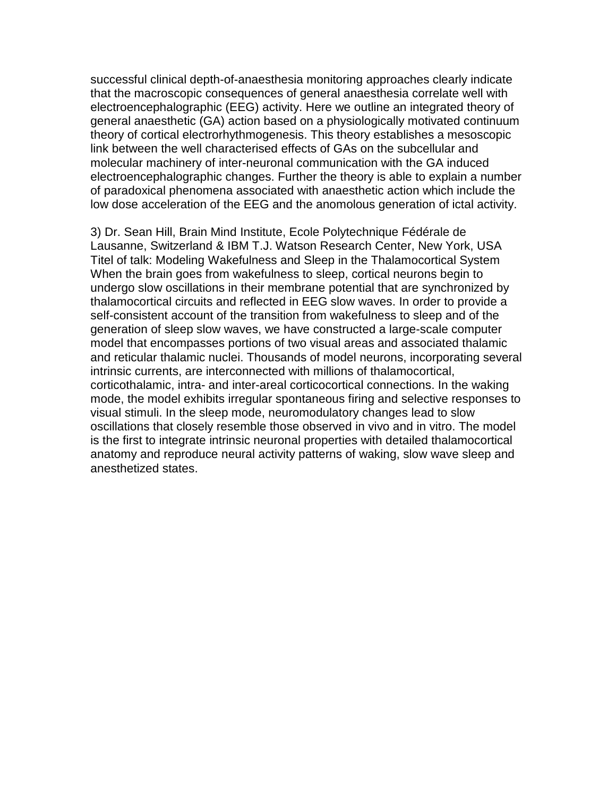successful clinical depth-of-anaesthesia monitoring approaches clearly indicate that the macroscopic consequences of general anaesthesia correlate well with electroencephalographic (EEG) activity. Here we outline an integrated theory of general anaesthetic (GA) action based on a physiologically motivated continuum theory of cortical electrorhythmogenesis. This theory establishes a mesoscopic link between the well characterised effects of GAs on the subcellular and molecular machinery of inter-neuronal communication with the GA induced electroencephalographic changes. Further the theory is able to explain a number of paradoxical phenomena associated with anaesthetic action which include the low dose acceleration of the EEG and the anomolous generation of ictal activity.

3) Dr. Sean Hill, Brain Mind Institute, Ecole Polytechnique Fédérale de Lausanne, Switzerland & IBM T.J. Watson Research Center, New York, USA Titel of talk: Modeling Wakefulness and Sleep in the Thalamocortical System When the brain goes from wakefulness to sleep, cortical neurons begin to undergo slow oscillations in their membrane potential that are synchronized by thalamocortical circuits and reflected in EEG slow waves. In order to provide a self-consistent account of the transition from wakefulness to sleep and of the generation of sleep slow waves, we have constructed a large-scale computer model that encompasses portions of two visual areas and associated thalamic and reticular thalamic nuclei. Thousands of model neurons, incorporating several intrinsic currents, are interconnected with millions of thalamocortical, corticothalamic, intra- and inter-areal corticocortical connections. In the waking mode, the model exhibits irregular spontaneous firing and selective responses to visual stimuli. In the sleep mode, neuromodulatory changes lead to slow oscillations that closely resemble those observed in vivo and in vitro. The model is the first to integrate intrinsic neuronal properties with detailed thalamocortical anatomy and reproduce neural activity patterns of waking, slow wave sleep and anesthetized states.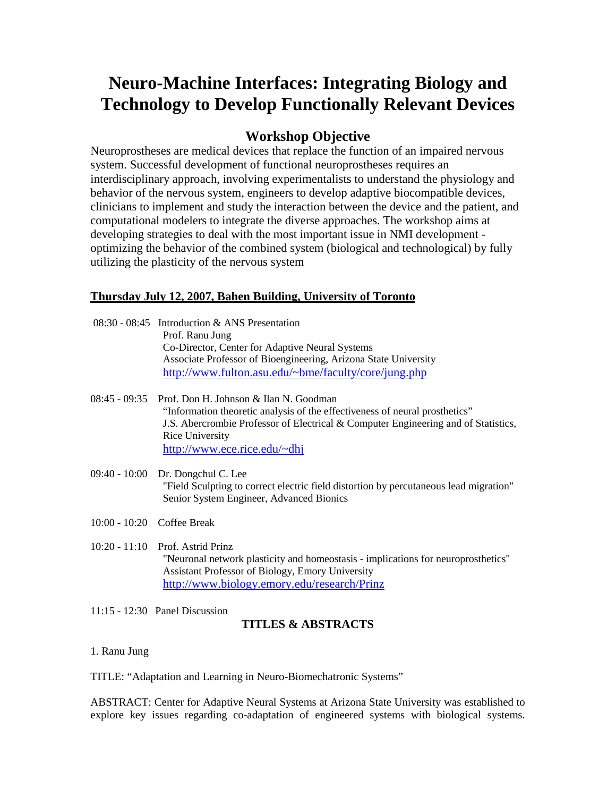# **Neuro-Machine Interfaces: Integrating Biology and Technology to Develop Functionally Relevant Devices**

### **Workshop Objective**

Neuroprostheses are medical devices that replace the function of an impaired nervous system. Successful development of functional neuroprostheses requires an interdisciplinary approach, involving experimentalists to understand the physiology and behavior of the nervous system, engineers to develop adaptive biocompatible devices, clinicians to implement and study the interaction between the device and the patient, and computational modelers to integrate the diverse approaches. The workshop aims at developing strategies to deal with the most important issue in NMI development optimizing the behavior of the combined system (biological and technological) by fully utilizing the plasticity of the nervous system

### **Thursday July 12, 2007, Bahen Building, University of Toronto**

|                              | $08:30 - 08:45$ Introduction & ANS Presentation<br>Prof. Ranu Jung<br>Co-Director, Center for Adaptive Neural Systems<br>Associate Professor of Bioengineering, Arizona State University<br>http://www.fulton.asu.edu/~bme/faculty/core/jung.php                      |
|------------------------------|-----------------------------------------------------------------------------------------------------------------------------------------------------------------------------------------------------------------------------------------------------------------------|
| $08:45 - 09:35$              | Prof. Don H. Johnson & Ilan N. Goodman<br>"Information theoretic analysis of the effectiveness of neural prosthetics"<br>J.S. Abercrombie Professor of Electrical & Computer Engineering and of Statistics,<br><b>Rice University</b><br>http://www.ece.rice.edu/~dhj |
|                              | 09:40 - 10:00 Dr. Dongchul C. Lee<br>"Field Sculpting to correct electric field distortion by percutaneous lead migration"<br>Senior System Engineer, Advanced Bionics                                                                                                |
| $10:00 - 10:20$ Coffee Break |                                                                                                                                                                                                                                                                       |
|                              | $10:20 - 11:10$ Prof. Astrid Prinz<br>"Neuronal network plasticity and homeostasis - implications for neuroprosthetics"<br><b>Assistant Professor of Biology, Emory University</b><br>http://www.biology.emory.edu/research/Prinz                                     |

11:15 - 12:30 Panel Discussion

### **TITLES & ABSTRACTS**

1. Ranu Jung

TITLE: "Adaptation and Learning in Neuro-Biomechatronic Systems"

ABSTRACT: Center for Adaptive Neural Systems at Arizona State University was established to explore key issues regarding co-adaptation of engineered systems with biological systems.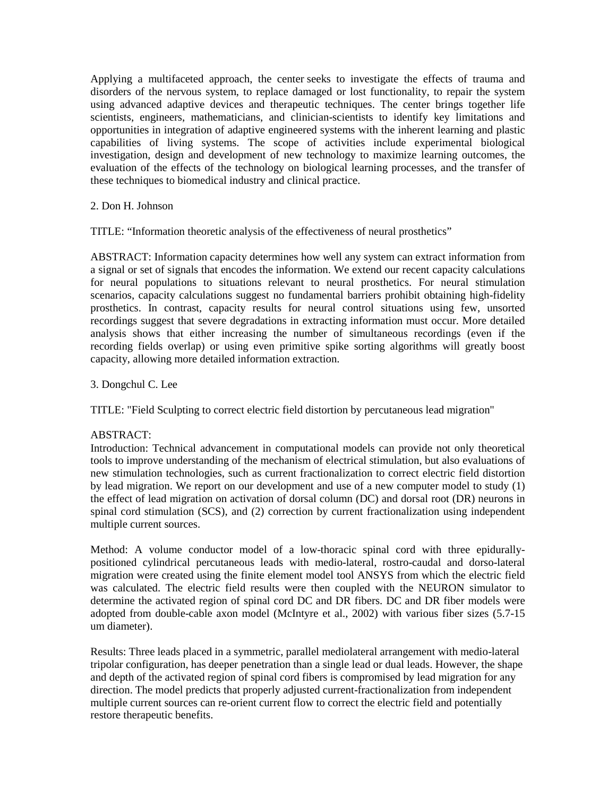Applying a multifaceted approach, the center seeks to investigate the effects of trauma and disorders of the nervous system, to replace damaged or lost functionality, to repair the system using advanced adaptive devices and therapeutic techniques. The center brings together life scientists, engineers, mathematicians, and clinician-scientists to identify key limitations and opportunities in integration of adaptive engineered systems with the inherent learning and plastic capabilities of living systems. The scope of activities include experimental biological investigation, design and development of new technology to maximize learning outcomes, the evaluation of the effects of the technology on biological learning processes, and the transfer of these techniques to biomedical industry and clinical practice.

#### 2. Don H. Johnson

TITLE: "Information theoretic analysis of the effectiveness of neural prosthetics"

ABSTRACT: Information capacity determines how well any system can extract information from a signal or set of signals that encodes the information. We extend our recent capacity calculations for neural populations to situations relevant to neural prosthetics. For neural stimulation scenarios, capacity calculations suggest no fundamental barriers prohibit obtaining high-fidelity prosthetics. In contrast, capacity results for neural control situations using few, unsorted recordings suggest that severe degradations in extracting information must occur. More detailed analysis shows that either increasing the number of simultaneous recordings (even if the recording fields overlap) or using even primitive spike sorting algorithms will greatly boost capacity, allowing more detailed information extraction.

#### 3. Dongchul C. Lee

TITLE: "Field Sculpting to correct electric field distortion by percutaneous lead migration"

#### ABSTRACT:

Introduction: Technical advancement in computational models can provide not only theoretical tools to improve understanding of the mechanism of electrical stimulation, but also evaluations of new stimulation technologies, such as current fractionalization to correct electric field distortion by lead migration. We report on our development and use of a new computer model to study (1) the effect of lead migration on activation of dorsal column (DC) and dorsal root (DR) neurons in spinal cord stimulation (SCS), and (2) correction by current fractionalization using independent multiple current sources.

Method: A volume conductor model of a low-thoracic spinal cord with three epidurallypositioned cylindrical percutaneous leads with medio-lateral, rostro-caudal and dorso-lateral migration were created using the finite element model tool ANSYS from which the electric field was calculated. The electric field results were then coupled with the NEURON simulator to determine the activated region of spinal cord DC and DR fibers. DC and DR fiber models were adopted from double-cable axon model (McIntyre et al., 2002) with various fiber sizes (5.7-15 um diameter).

Results: Three leads placed in a symmetric, parallel mediolateral arrangement with medio-lateral tripolar configuration, has deeper penetration than a single lead or dual leads. However, the shape and depth of the activated region of spinal cord fibers is compromised by lead migration for any direction. The model predicts that properly adjusted current-fractionalization from independent multiple current sources can re-orient current flow to correct the electric field and potentially restore therapeutic benefits.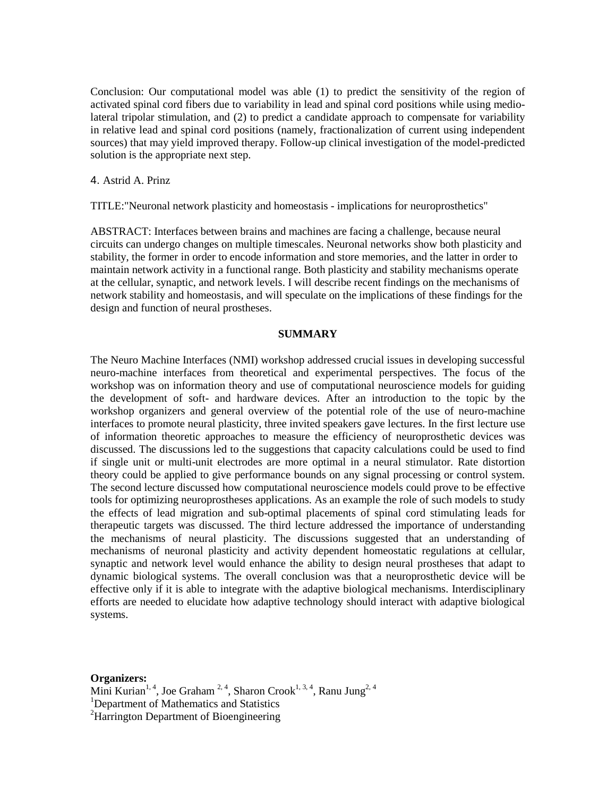Conclusion: Our computational model was able (1) to predict the sensitivity of the region of activated spinal cord fibers due to variability in lead and spinal cord positions while using mediolateral tripolar stimulation, and (2) to predict a candidate approach to compensate for variability in relative lead and spinal cord positions (namely, fractionalization of current using independent sources) that may yield improved therapy. Follow-up clinical investigation of the model-predicted solution is the appropriate next step.

4. Astrid A. Prinz

TITLE:"Neuronal network plasticity and homeostasis - implications for neuroprosthetics"

ABSTRACT: Interfaces between brains and machines are facing a challenge, because neural circuits can undergo changes on multiple timescales. Neuronal networks show both plasticity and stability, the former in order to encode information and store memories, and the latter in order to maintain network activity in a functional range. Both plasticity and stability mechanisms operate at the cellular, synaptic, and network levels. I will describe recent findings on the mechanisms of network stability and homeostasis, and will speculate on the implications of these findings for the design and function of neural prostheses.

#### **SUMMARY**

The Neuro Machine Interfaces (NMI) workshop addressed crucial issues in developing successful neuro-machine interfaces from theoretical and experimental perspectives. The focus of the workshop was on information theory and use of computational neuroscience models for guiding the development of soft- and hardware devices. After an introduction to the topic by the workshop organizers and general overview of the potential role of the use of neuro-machine interfaces to promote neural plasticity, three invited speakers gave lectures. In the first lecture use of information theoretic approaches to measure the efficiency of neuroprosthetic devices was discussed. The discussions led to the suggestions that capacity calculations could be used to find if single unit or multi-unit electrodes are more optimal in a neural stimulator. Rate distortion theory could be applied to give performance bounds on any signal processing or control system. The second lecture discussed how computational neuroscience models could prove to be effective tools for optimizing neuroprostheses applications. As an example the role of such models to study the effects of lead migration and sub-optimal placements of spinal cord stimulating leads for therapeutic targets was discussed. The third lecture addressed the importance of understanding the mechanisms of neural plasticity. The discussions suggested that an understanding of mechanisms of neuronal plasticity and activity dependent homeostatic regulations at cellular, synaptic and network level would enhance the ability to design neural prostheses that adapt to dynamic biological systems. The overall conclusion was that a neuroprosthetic device will be effective only if it is able to integrate with the adaptive biological mechanisms. Interdisciplinary efforts are needed to elucidate how adaptive technology should interact with adaptive biological systems.

**Organizers:** 

Mini Kurian<sup>1, 4</sup>, Joe Graham<sup>2, 4</sup>, Sharon Crook<sup>1, 3, 4</sup>, Ranu Jung<sup>2, 4</sup>

<sup>1</sup>Department of Mathematics and Statistics

<sup>2</sup>Harrington Department of Bioengineering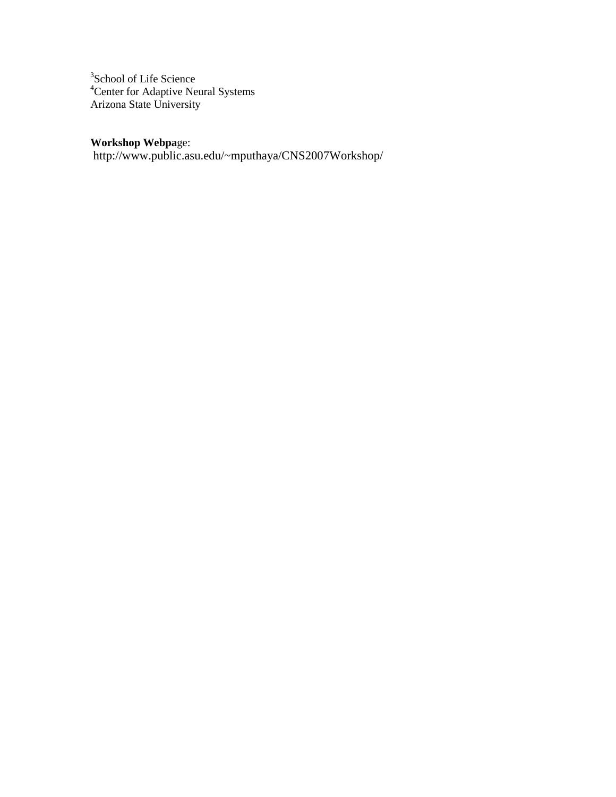<sup>3</sup>School of Life Science <sup>4</sup>Center for Adaptive Neural Systems Arizona State University

### **Workshop Webpa**ge:

http://www.public.asu.edu/~mputhaya/CNS2007Workshop/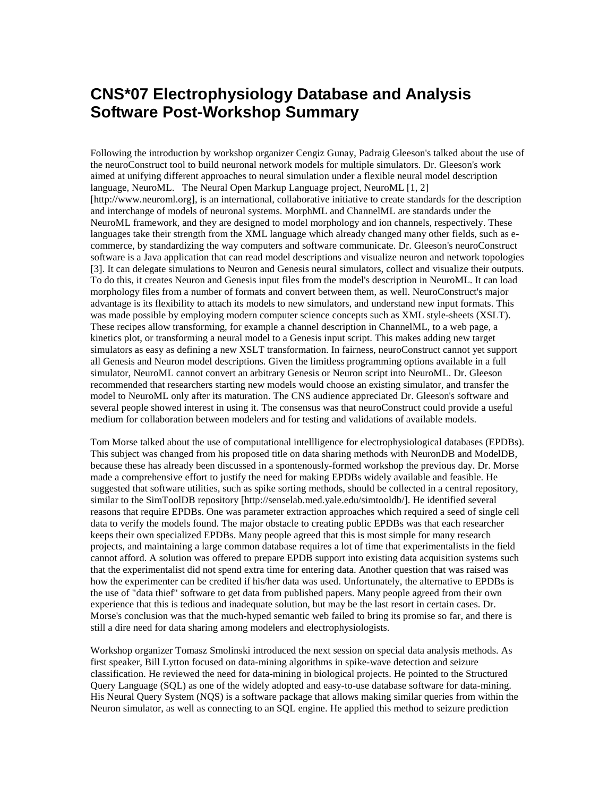## **CNS\*07 Electrophysiology Database and Analysis Software Post-Workshop Summary**

Following the introduction by workshop organizer Cengiz Gunay, Padraig Gleeson's talked about the use of the neuroConstruct tool to build neuronal network models for multiple simulators. Dr. Gleeson's work aimed at unifying different approaches to neural simulation under a flexible neural model description language, NeuroML. The Neural Open Markup Language project, NeuroML [1, 2] [http://www.neuroml.org], is an international, collaborative initiative to create standards for the description and interchange of models of neuronal systems. MorphML and ChannelML are standards under the NeuroML framework, and they are designed to model morphology and ion channels, respectively. These languages take their strength from the XML language which already changed many other fields, such as ecommerce, by standardizing the way computers and software communicate. Dr. Gleeson's neuroConstruct software is a Java application that can read model descriptions and visualize neuron and network topologies [3]. It can delegate simulations to Neuron and Genesis neural simulators, collect and visualize their outputs. To do this, it creates Neuron and Genesis input files from the model's description in NeuroML. It can load morphology files from a number of formats and convert between them, as well. NeuroConstruct's major advantage is its flexibility to attach its models to new simulators, and understand new input formats. This was made possible by employing modern computer science concepts such as XML style-sheets (XSLT). These recipes allow transforming, for example a channel description in ChannelML, to a web page, a kinetics plot, or transforming a neural model to a Genesis input script. This makes adding new target simulators as easy as defining a new XSLT transformation. In fairness, neuroConstruct cannot yet support all Genesis and Neuron model descriptions. Given the limitless programming options available in a full simulator, NeuroML cannot convert an arbitrary Genesis or Neuron script into NeuroML. Dr. Gleeson recommended that researchers starting new models would choose an existing simulator, and transfer the model to NeuroML only after its maturation. The CNS audience appreciated Dr. Gleeson's software and several people showed interest in using it. The consensus was that neuroConstruct could provide a useful medium for collaboration between modelers and for testing and validations of available models.

Tom Morse talked about the use of computational intellligence for electrophysiological databases (EPDBs). This subject was changed from his proposed title on data sharing methods with NeuronDB and ModelDB, because these has already been discussed in a spontenously-formed workshop the previous day. Dr. Morse made a comprehensive effort to justify the need for making EPDBs widely available and feasible. He suggested that software utilities, such as spike sorting methods, should be collected in a central repository, similar to the SimToolDB repository [http://senselab.med.yale.edu/simtooldb/]. He identified several reasons that require EPDBs. One was parameter extraction approaches which required a seed of single cell data to verify the models found. The major obstacle to creating public EPDBs was that each researcher keeps their own specialized EPDBs. Many people agreed that this is most simple for many research projects, and maintaining a large common database requires a lot of time that experimentalists in the field cannot afford. A solution was offered to prepare EPDB support into existing data acquisition systems such that the experimentalist did not spend extra time for entering data. Another question that was raised was how the experimenter can be credited if his/her data was used. Unfortunately, the alternative to EPDBs is the use of "data thief" software to get data from published papers. Many people agreed from their own experience that this is tedious and inadequate solution, but may be the last resort in certain cases. Dr. Morse's conclusion was that the much-hyped semantic web failed to bring its promise so far, and there is still a dire need for data sharing among modelers and electrophysiologists.

Workshop organizer Tomasz Smolinski introduced the next session on special data analysis methods. As first speaker, Bill Lytton focused on data-mining algorithms in spike-wave detection and seizure classification. He reviewed the need for data-mining in biological projects. He pointed to the Structured Query Language (SQL) as one of the widely adopted and easy-to-use database software for data-mining. His Neural Query System (NQS) is a software package that allows making similar queries from within the Neuron simulator, as well as connecting to an SQL engine. He applied this method to seizure prediction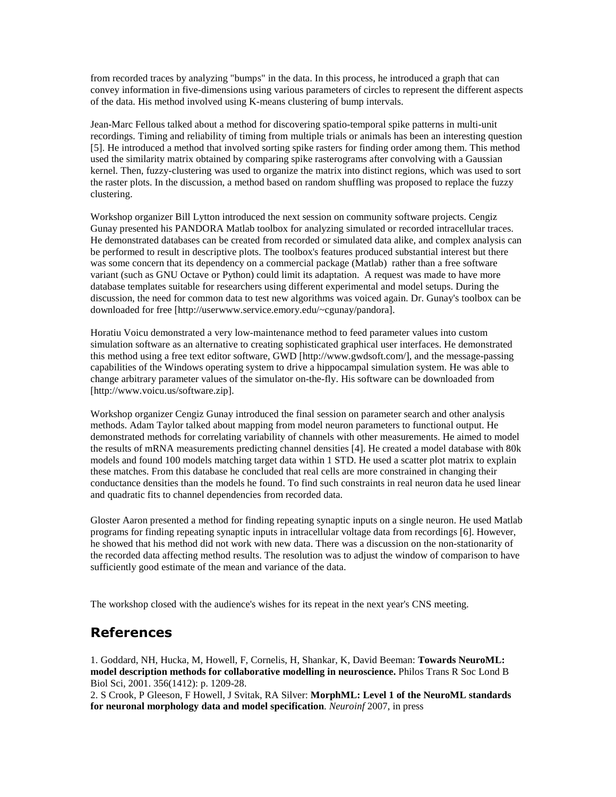from recorded traces by analyzing "bumps" in the data. In this process, he introduced a graph that can convey information in five-dimensions using various parameters of circles to represent the different aspects of the data. His method involved using K-means clustering of bump intervals.

Jean-Marc Fellous talked about a method for discovering spatio-temporal spike patterns in multi-unit recordings. Timing and reliability of timing from multiple trials or animals has been an interesting question [5]. He introduced a method that involved sorting spike rasters for finding order among them. This method used the similarity matrix obtained by comparing spike rasterograms after convolving with a Gaussian kernel. Then, fuzzy-clustering was used to organize the matrix into distinct regions, which was used to sort the raster plots. In the discussion, a method based on random shuffling was proposed to replace the fuzzy clustering.

Workshop organizer Bill Lytton introduced the next session on community software projects. Cengiz Gunay presented his PANDORA Matlab toolbox for analyzing simulated or recorded intracellular traces. He demonstrated databases can be created from recorded or simulated data alike, and complex analysis can be performed to result in descriptive plots. The toolbox's features produced substantial interest but there was some concern that its dependency on a commercial package (Matlab) rather than a free software variant (such as GNU Octave or Python) could limit its adaptation. A request was made to have more database templates suitable for researchers using different experimental and model setups. During the discussion, the need for common data to test new algorithms was voiced again. Dr. Gunay's toolbox can be downloaded for free [http://userwww.service.emory.edu/~cgunay/pandora].

Horatiu Voicu demonstrated a very low-maintenance method to feed parameter values into custom simulation software as an alternative to creating sophisticated graphical user interfaces. He demonstrated this method using a free text editor software, GWD [http://www.gwdsoft.com/], and the message-passing capabilities of the Windows operating system to drive a hippocampal simulation system. He was able to change arbitrary parameter values of the simulator on-the-fly. His software can be downloaded from [http://www.voicu.us/software.zip].

Workshop organizer Cengiz Gunay introduced the final session on parameter search and other analysis methods. Adam Taylor talked about mapping from model neuron parameters to functional output. He demonstrated methods for correlating variability of channels with other measurements. He aimed to model the results of mRNA measurements predicting channel densities [4]. He created a model database with 80k models and found 100 models matching target data within 1 STD. He used a scatter plot matrix to explain these matches. From this database he concluded that real cells are more constrained in changing their conductance densities than the models he found. To find such constraints in real neuron data he used linear and quadratic fits to channel dependencies from recorded data.

Gloster Aaron presented a method for finding repeating synaptic inputs on a single neuron. He used Matlab programs for finding repeating synaptic inputs in intracellular voltage data from recordings [6]. However, he showed that his method did not work with new data. There was a discussion on the non-stationarity of the recorded data affecting method results. The resolution was to adjust the window of comparison to have sufficiently good estimate of the mean and variance of the data.

The workshop closed with the audience's wishes for its repeat in the next year's CNS meeting.

### References

1. Goddard, NH, Hucka, M, Howell, F, Cornelis, H, Shankar, K, David Beeman: **Towards NeuroML: model description methods for collaborative modelling in neuroscience.** Philos Trans R Soc Lond B Biol Sci, 2001. 356(1412): p. 1209-28.

2. S Crook, P Gleeson, F Howell, J Svitak, RA Silver: **MorphML: Level 1 of the NeuroML standards for neuronal morphology data and model specification**. *Neuroinf* 2007, in press